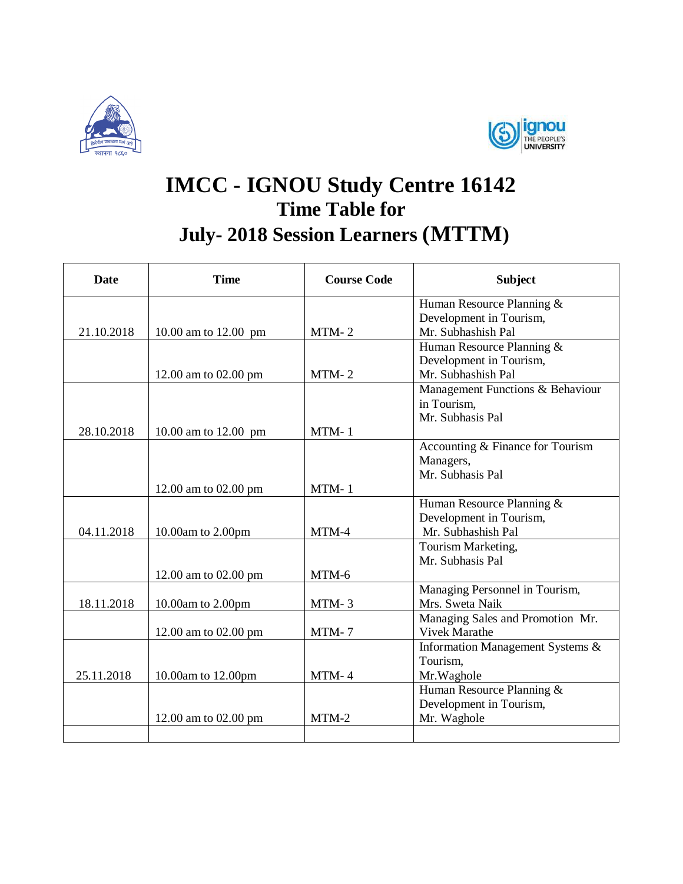



## **IMCC - IGNOU Study Centre 16142 Time Table for July- 2018 Session Learners (MTTM)**

| <b>Date</b> | <b>Time</b>          | <b>Course Code</b> | <b>Subject</b>                                  |
|-------------|----------------------|--------------------|-------------------------------------------------|
|             |                      |                    | Human Resource Planning &                       |
|             |                      |                    | Development in Tourism,                         |
| 21.10.2018  | 10.00 am to 12.00 pm | $MTM-2$            | Mr. Subhashish Pal                              |
|             |                      |                    | Human Resource Planning &                       |
|             |                      |                    | Development in Tourism,<br>Mr. Subhashish Pal   |
|             | 12.00 am to 02.00 pm | $MTM-2$            |                                                 |
|             |                      |                    | Management Functions & Behaviour<br>in Tourism, |
|             |                      |                    | Mr. Subhasis Pal                                |
| 28.10.2018  | 10.00 am to 12.00 pm | $MTM-1$            |                                                 |
|             |                      |                    | Accounting & Finance for Tourism                |
|             |                      |                    | Managers,                                       |
|             |                      |                    | Mr. Subhasis Pal                                |
|             | 12.00 am to 02.00 pm | $MTM-1$            |                                                 |
|             |                      |                    | Human Resource Planning &                       |
|             |                      |                    | Development in Tourism,                         |
| 04.11.2018  | 10.00am to 2.00pm    | MTM-4              | Mr. Subhashish Pal                              |
|             |                      |                    | Tourism Marketing,                              |
|             |                      |                    | Mr. Subhasis Pal                                |
|             | 12.00 am to 02.00 pm | MTM-6              |                                                 |
|             |                      |                    | Managing Personnel in Tourism,                  |
| 18.11.2018  | 10.00am to 2.00pm    | $MTM-3$            | Mrs. Sweta Naik                                 |
|             |                      |                    | Managing Sales and Promotion Mr.                |
|             | 12.00 am to 02.00 pm | MTM-7              | <b>Vivek Marathe</b>                            |
|             |                      |                    | Information Management Systems &                |
| 25.11.2018  |                      | $MTM-4$            | Tourism,                                        |
|             | 10.00am to 12.00pm   |                    | Mr. Waghole<br>Human Resource Planning &        |
|             |                      |                    | Development in Tourism,                         |
|             | 12.00 am to 02.00 pm | $MTM-2$            | Mr. Waghole                                     |
|             |                      |                    |                                                 |
|             |                      |                    |                                                 |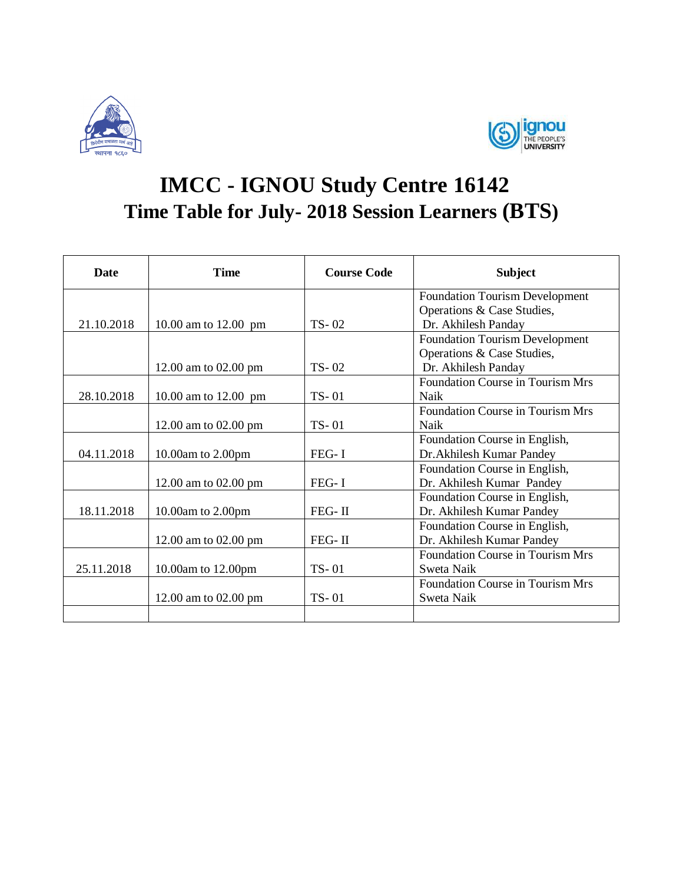



## **IMCC - IGNOU Study Centre 16142 Time Table for July- 2018 Session Learners (BTS)**

| <b>Date</b> | <b>Time</b>          | <b>Course Code</b> | <b>Subject</b>                          |
|-------------|----------------------|--------------------|-----------------------------------------|
|             |                      |                    | <b>Foundation Tourism Development</b>   |
|             |                      |                    | Operations & Case Studies,              |
| 21.10.2018  | 10.00 am to 12.00 pm | $TS - 02$          | Dr. Akhilesh Panday                     |
|             |                      |                    | <b>Foundation Tourism Development</b>   |
|             |                      |                    | Operations & Case Studies,              |
|             | 12.00 am to 02.00 pm | $TS-02$            | Dr. Akhilesh Panday                     |
|             |                      |                    | <b>Foundation Course in Tourism Mrs</b> |
| 28.10.2018  | 10.00 am to 12.00 pm | $TS - 01$          | Naik                                    |
|             |                      |                    | <b>Foundation Course in Tourism Mrs</b> |
|             | 12.00 am to 02.00 pm | $TS - 01$          | <b>Naik</b>                             |
|             |                      |                    | Foundation Course in English,           |
| 04.11.2018  | 10.00am to 2.00pm    | $FEG-I$            | Dr. Akhilesh Kumar Pandey               |
|             |                      |                    | Foundation Course in English,           |
|             | 12.00 am to 02.00 pm | $FEG-I$            | Dr. Akhilesh Kumar Pandey               |
|             |                      |                    | Foundation Course in English,           |
| 18.11.2018  | 10.00am to 2.00pm    | FEG-II             | Dr. Akhilesh Kumar Pandey               |
|             |                      |                    | Foundation Course in English,           |
|             | 12.00 am to 02.00 pm | $FEG-II$           | Dr. Akhilesh Kumar Pandey               |
|             |                      |                    | Foundation Course in Tourism Mrs        |
| 25.11.2018  | 10.00am to 12.00pm   | TS-01              | Sweta Naik                              |
|             |                      |                    | Foundation Course in Tourism Mrs        |
|             | 12.00 am to 02.00 pm | $TS - 01$          | Sweta Naik                              |
|             |                      |                    |                                         |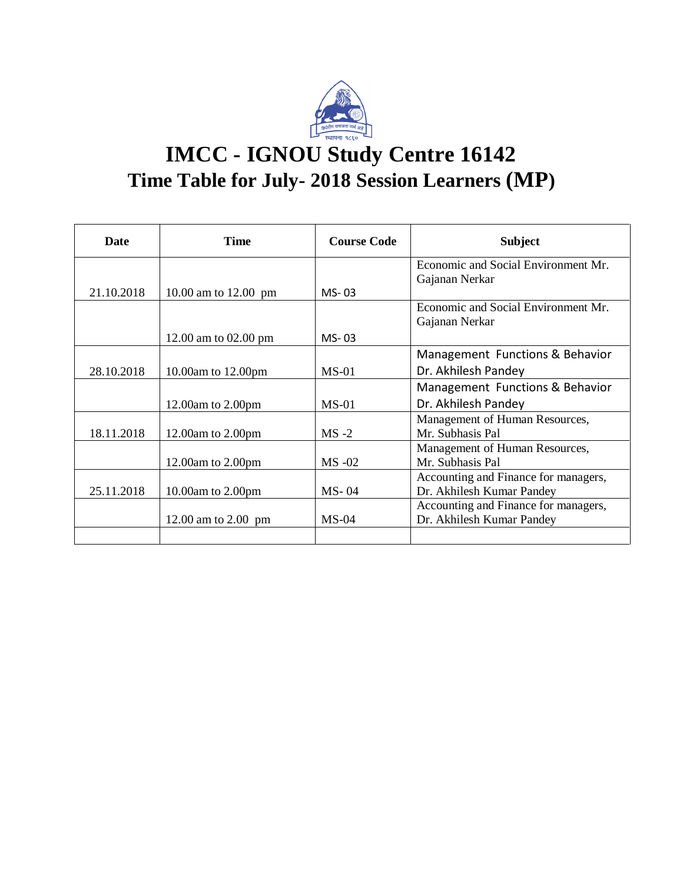

## **IMCC - IGNOU Study Centre 16142 Time Table for July- 2018 Session Learners (MP)**

| Date       | <b>Time</b>           | <b>Course Code</b> | <b>Subject</b>                       |
|------------|-----------------------|--------------------|--------------------------------------|
|            |                       |                    | Economic and Social Environment Mr.  |
|            |                       |                    | Gajanan Nerkar                       |
| 21.10.2018 | 10.00 am to 12.00 pm  | $MS-03$            |                                      |
|            |                       |                    | Economic and Social Environment Mr.  |
|            |                       |                    | Gajanan Nerkar                       |
|            | 12.00 am to 02.00 pm  | $MS-03$            |                                      |
|            |                       |                    | Management Functions & Behavior      |
| 28.10.2018 | 10.00am to 12.00pm    | $MS-01$            | Dr. Akhilesh Pandey                  |
|            |                       |                    | Management Functions & Behavior      |
|            | 12.00am to $2.00$ pm  | $MS-01$            | Dr. Akhilesh Pandey                  |
|            |                       |                    | Management of Human Resources,       |
| 18.11.2018 | 12.00am to $2.00$ pm  | $MS -2$            | Mr. Subhasis Pal                     |
|            |                       |                    | Management of Human Resources,       |
|            | 12.00am to 2.00pm     | $MS -02$           | Mr. Subhasis Pal                     |
|            |                       |                    | Accounting and Finance for managers, |
| 25.11.2018 | 10.00am to $2.00$ pm  | $MS-04$            | Dr. Akhilesh Kumar Pandey            |
|            |                       |                    | Accounting and Finance for managers, |
|            | 12.00 am to $2.00$ pm | $MS-04$            | Dr. Akhilesh Kumar Pandey            |
|            |                       |                    |                                      |